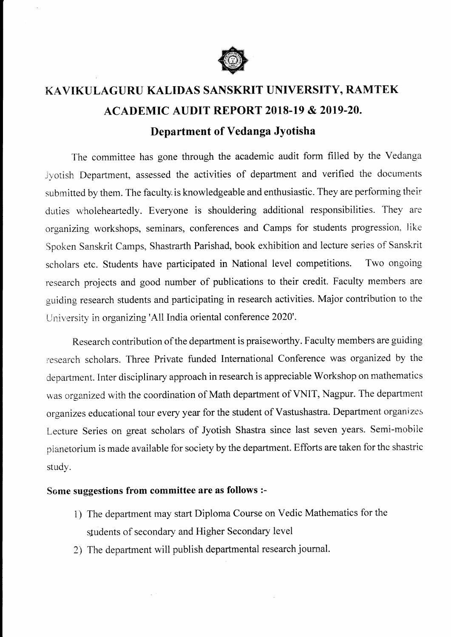

## KAVIKULAGURU KALIDAS SANSKRIT UNIVERSITY, RAMTEK ACADEMIC AUDIT REPORT 2018-19 & 2OI9-20. Department of Vedanga Jyotisha

The committee has gone through the academic audit form fiIled by the Vedanga Jyotish Department, assessed the activities of department and verified the documents submitted by them. The faculty, is knowledgeable and enthusiastic. They are performing their duties wholeheartedly. Everyone is shouldering additional responsibilities. They are organizing workshops, seminars, conferences and Camps for students progression, like Spoken Sanskrit Camps, Shastrarth Parishad, book exhibition and lecture series of Sanskrit scholars etc. Students have participated in National level competitions. Two ongoing research projects and good number of publications to their credit. Faculty members are guiding research students and participating in research activities. Major contribution to the University in organizing 'A11 India oriental conference 2020'.

Research contribution of the department is praiseworthy. Faculty members are guiding research scholars. Three Private funded International Conference was organized by the department. Inter disciplinary approach in research is appreciable Workshop on mathematics was organized with the coordination of Math department of VNIT, Nagpur. The department organizes educational tour every year for the student of Vastushastra. Department organizes Lecture Series on great scholars of Jyotish Shastra since last seven years. Semi-mobile pianetorium is made available for society by the department. Efforts are taken for the shastric study.

## Some suggestions from committee are as follows :-

 $\sim$   $^{-1}$ 

- <sup>i</sup>) The department may start Diploma Course on Vedic Mathematics for the students of secondary and Higher Secondary level
- 2) The department will publish departmentai research journal.